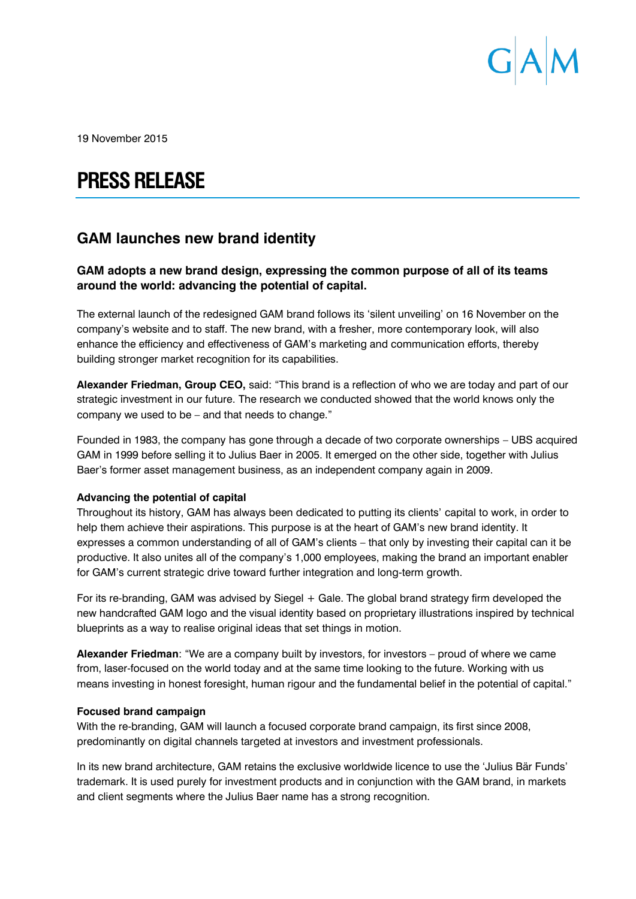

19 November 2015

# **PRESS RELEASE**

# **GAM launches new brand identity**

# **GAM adopts a new brand design, expressing the common purpose of all of its teams around the world: advancing the potential of capital.**

The external launch of the redesigned GAM brand follows its 'silent unveiling' on 16 November on the company's website and to staff. The new brand, with a fresher, more contemporary look, will also enhance the efficiency and effectiveness of GAM's marketing and communication efforts, thereby building stronger market recognition for its capabilities.

**Alexander Friedman, Group CEO,** said: "This brand is a reflection of who we are today and part of our strategic investment in our future. The research we conducted showed that the world knows only the company we used to be – and that needs to change."

Founded in 1983, the company has gone through a decade of two corporate ownerships – UBS acquired GAM in 1999 before selling it to Julius Baer in 2005. It emerged on the other side, together with Julius Baer's former asset management business, as an independent company again in 2009.

## **Advancing the potential of capital**

Throughout its history, GAM has always been dedicated to putting its clients' capital to work, in order to help them achieve their aspirations. This purpose is at the heart of GAM's new brand identity. It expresses a common understanding of all of GAM's clients – that only by investing their capital can it be productive. It also unites all of the company's 1,000 employees, making the brand an important enabler for GAM's current strategic drive toward further integration and long-term growth.

For its re-branding, GAM was advised by Siegel + Gale. The global brand strategy firm developed the new handcrafted GAM logo and the visual identity based on proprietary illustrations inspired by technical blueprints as a way to realise original ideas that set things in motion.

**Alexander Friedman**: "We are a company built by investors, for investors – proud of where we came from, laser-focused on the world today and at the same time looking to the future. Working with us means investing in honest foresight, human rigour and the fundamental belief in the potential of capital."

#### **Focused brand campaign**

With the re-branding, GAM will launch a focused corporate brand campaign, its first since 2008, predominantly on digital channels targeted at investors and investment professionals.

In its new brand architecture, GAM retains the exclusive worldwide licence to use the 'Julius Bär Funds' trademark. It is used purely for investment products and in conjunction with the GAM brand, in markets and client segments where the Julius Baer name has a strong recognition.